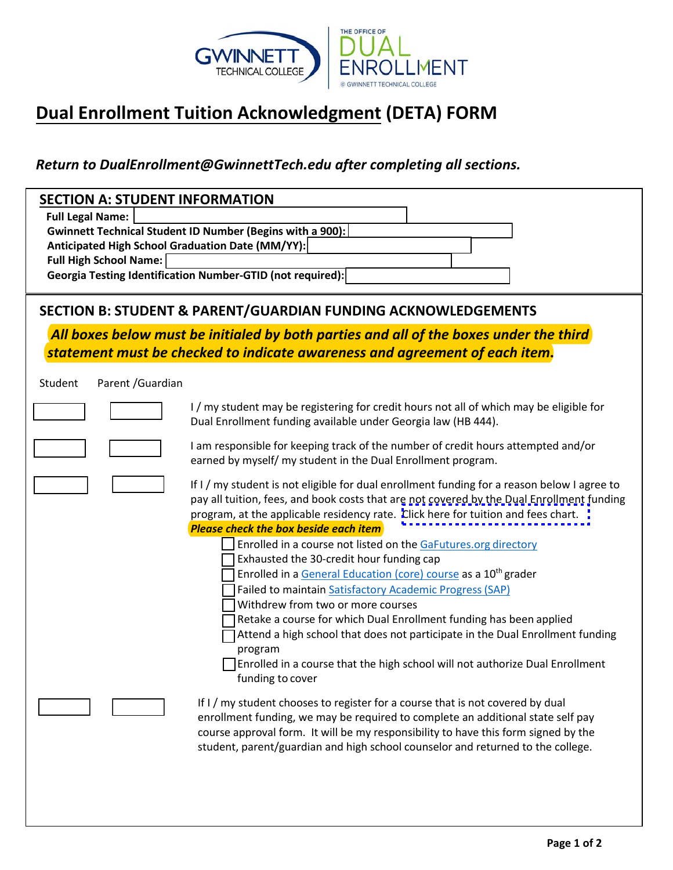

## **Dual Enrollment Tuition Acknowledgment (DETA) FORM**

*Return to [DualEnrollment@GwinnettTech.edu](mailto:DualEnrollment@GwinnettTech.edu) after completing all sections.*

| <b>SECTION A: STUDENT INFORMATION</b>                                    |                                                                                                                                                   |  |  |  |  |
|--------------------------------------------------------------------------|---------------------------------------------------------------------------------------------------------------------------------------------------|--|--|--|--|
| <b>Full Legal Name:</b>                                                  |                                                                                                                                                   |  |  |  |  |
|                                                                          | Gwinnett Technical Student ID Number (Begins with a 900):                                                                                         |  |  |  |  |
|                                                                          | Anticipated High School Graduation Date (MM/YY):                                                                                                  |  |  |  |  |
| <b>Full High School Name:</b>                                            |                                                                                                                                                   |  |  |  |  |
|                                                                          | Georgia Testing Identification Number-GTID (not required):                                                                                        |  |  |  |  |
|                                                                          |                                                                                                                                                   |  |  |  |  |
| <b>SECTION B: STUDENT &amp; PARENT/GUARDIAN FUNDING ACKNOWLEDGEMENTS</b> |                                                                                                                                                   |  |  |  |  |
|                                                                          | All boxes below must be initialed by both parties and all of the boxes under the third                                                            |  |  |  |  |
|                                                                          | statement must be checked to indicate awareness and agreement of each item.                                                                       |  |  |  |  |
|                                                                          |                                                                                                                                                   |  |  |  |  |
| Parent / Guardian<br>Student                                             |                                                                                                                                                   |  |  |  |  |
|                                                                          | I/my student may be registering for credit hours not all of which may be eligible for                                                             |  |  |  |  |
|                                                                          | Dual Enrollment funding available under Georgia law (HB 444).                                                                                     |  |  |  |  |
|                                                                          | I am responsible for keeping track of the number of credit hours attempted and/or<br>earned by myself/ my student in the Dual Enrollment program. |  |  |  |  |
|                                                                          | If I / my student is not eligible for dual enrollment funding for a reason below I agree to                                                       |  |  |  |  |
|                                                                          | pay all tuition, fees, and book costs that are not covered by the Dual Enrollment funding                                                         |  |  |  |  |
|                                                                          | program, at the applicable residency rate. Click here for tuition and fees chart.                                                                 |  |  |  |  |
| <b>Please check the box beside each item</b>                             |                                                                                                                                                   |  |  |  |  |
|                                                                          | Enrolled in a course not listed on the GaFutures.org directory                                                                                    |  |  |  |  |
|                                                                          | Exhausted the 30-credit hour funding cap                                                                                                          |  |  |  |  |
|                                                                          | Enrolled in a General Education (core) course as a 10 <sup>th</sup> grader                                                                        |  |  |  |  |

Failed to maintain [Satisfactory Academic Progress \(SAP\)](https://www.gwinnetttech.edu/enrollment/financial-aid/maintaining-your-financial-aid/) 

Withdrew from two or more courses

Retake a course for which Dual Enrollment funding has been applied

Attend a high school that does not participate in the Dual Enrollment funding program

 $\Box$  Enrolled in a course that the high school will not authorize Dual Enrollment funding to cover

If I / my student chooses to register for a course that is not covered by dual enrollment funding, we may be required to complete an additional state self pay course approval form. It will be my responsibility to have this form signed by the student, parent/guardian and high school counselor and returned to the college.